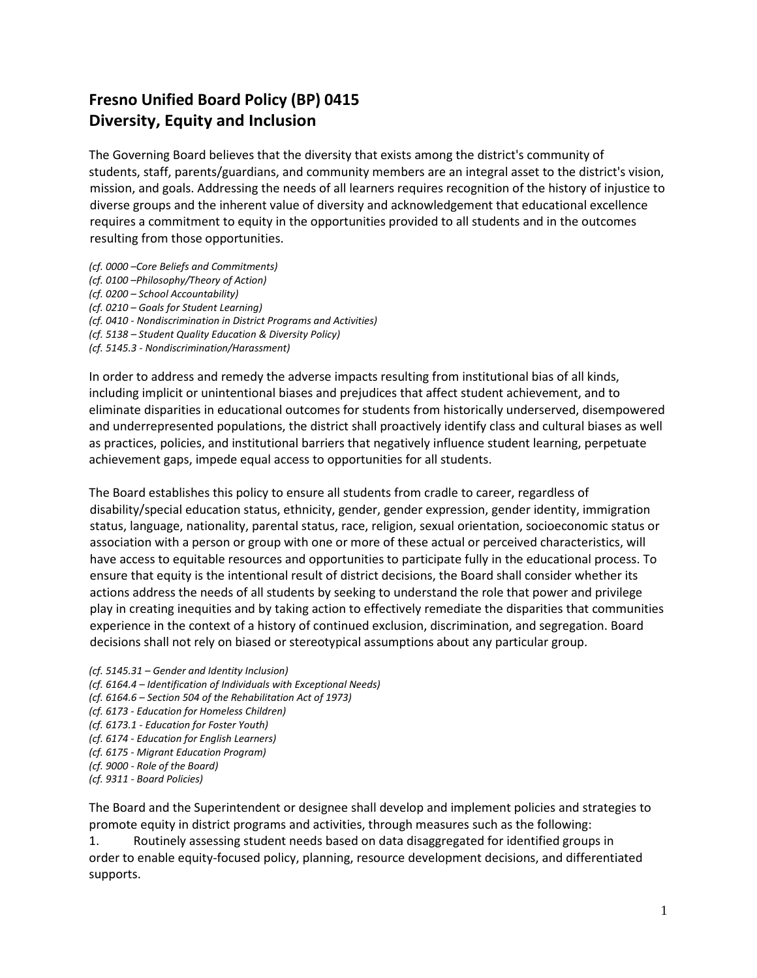## **Fresno Unified Board Policy (BP) 0415 Diversity, Equity and Inclusion**

The Governing Board believes that the diversity that exists among the district's community of students, staff, parents/guardians, and community members are an integral asset to the district's vision, mission, and goals. Addressing the needs of all learners requires recognition of the history of injustice to diverse groups and the inherent value of diversity and acknowledgement that educational excellence requires a commitment to equity in the opportunities provided to all students and in the outcomes resulting from those opportunities.

- *(cf. 0000 –Core Beliefs and Commitments)*
- *(cf. 0100 –Philosophy/Theory of Action)*
- *(cf. 0200 – School Accountability)*
- *(cf. 0210 – Goals for Student Learning)*
- *(cf. 0410 - Nondiscrimination in District Programs and Activities)*
- *(cf. 5138 – Student Quality Education & Diversity Policy)*
- *(cf. 5145.3 - Nondiscrimination/Harassment)*

In order to address and remedy the adverse impacts resulting from institutional bias of all kinds, including implicit or unintentional biases and prejudices that affect student achievement, and to eliminate disparities in educational outcomes for students from historically underserved, disempowered and underrepresented populations, the district shall proactively identify class and cultural biases as well as practices, policies, and institutional barriers that negatively influence student learning, perpetuate achievement gaps, impede equal access to opportunities for all students.

The Board establishes this policy to ensure all students from cradle to career, regardless of disability/special education status, ethnicity, gender, gender expression, gender identity, immigration status, language, nationality, parental status, race, religion, sexual orientation, socioeconomic status or association with a person or group with one or more of these actual or perceived characteristics, will have access to equitable resources and opportunities to participate fully in the educational process. To ensure that equity is the intentional result of district decisions, the Board shall consider whether its actions address the needs of all students by seeking to understand the role that power and privilege play in creating inequities and by taking action to effectively remediate the disparities that communities experience in the context of a history of continued exclusion, discrimination, and segregation. Board decisions shall not rely on biased or stereotypical assumptions about any particular group.

*(cf. 5145.31 – Gender and Identity Inclusion) (cf. 6164.4 – Identification of Individuals with Exceptional Needs) (cf. 6164.6 – Section 504 of the Rehabilitation Act of 1973) (cf. 6173 - Education for Homeless Children) (cf. 6173.1 - Education for Foster Youth) (cf. 6174 - Education for English Learners) (cf. 6175 - Migrant Education Program) (cf. 9000 - Role of the Board) (cf. 9311 - Board Policies)*

The Board and the Superintendent or designee shall develop and implement policies and strategies to promote equity in district programs and activities, through measures such as the following:

1. Routinely assessing student needs based on data disaggregated for identified groups in order to enable equity-focused policy, planning, resource development decisions, and differentiated supports.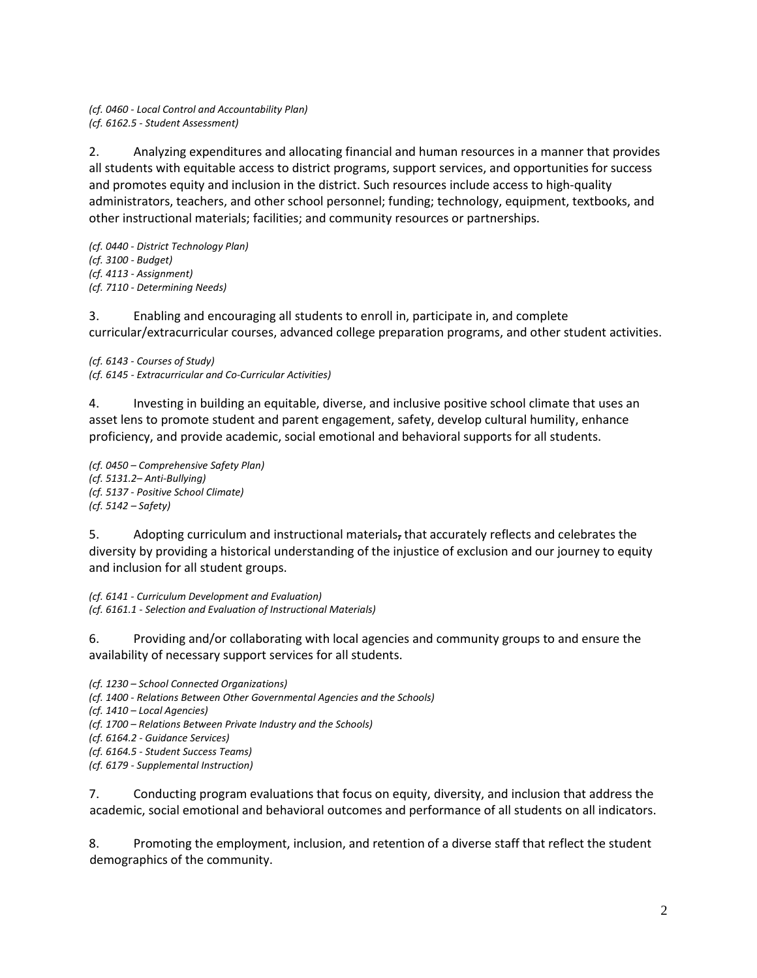*(cf. 0460 - Local Control and Accountability Plan) (cf. 6162.5 - Student Assessment)*

2. Analyzing expenditures and allocating financial and human resources in a manner that provides all students with equitable access to district programs, support services, and opportunities for success and promotes equity and inclusion in the district. Such resources include access to high-quality administrators, teachers, and other school personnel; funding; technology, equipment, textbooks, and other instructional materials; facilities; and community resources or partnerships.

*(cf. 0440 - District Technology Plan) (cf. 3100 - Budget) (cf. 4113 - Assignment) (cf. 7110 - Determining Needs)*

3. Enabling and encouraging all students to enroll in, participate in, and complete curricular/extracurricular courses, advanced college preparation programs, and other student activities.

*(cf. 6143 - Courses of Study) (cf. 6145 - Extracurricular and Co-Curricular Activities)*

4. Investing in building an equitable, diverse, and inclusive positive school climate that uses an asset lens to promote student and parent engagement, safety, develop cultural humility, enhance proficiency, and provide academic, social emotional and behavioral supports for all students.

*(cf. 0450 – Comprehensive Safety Plan) (cf. 5131.2– Anti-Bullying) (cf. 5137 - Positive School Climate) (cf. 5142 – Safety)*

5. Adopting curriculum and instructional materials, that accurately reflects and celebrates the diversity by providing a historical understanding of the injustice of exclusion and our journey to equity and inclusion for all student groups.

*(cf. 6141 - Curriculum Development and Evaluation) (cf. 6161.1 - Selection and Evaluation of Instructional Materials)*

6. Providing and/or collaborating with local agencies and community groups to and ensure the availability of necessary support services for all students.

*(cf. 1230 – School Connected Organizations) (cf. 1400 - Relations Between Other Governmental Agencies and the Schools) (cf. 1410 – Local Agencies) (cf. 1700 – Relations Between Private Industry and the Schools) (cf. 6164.2 - Guidance Services) (cf. 6164.5 - Student Success Teams) (cf. 6179 - Supplemental Instruction)*

7. Conducting program evaluations that focus on equity, diversity, and inclusion that address the academic, social emotional and behavioral outcomes and performance of all students on all indicators.

8. Promoting the employment, inclusion, and retention of a diverse staff that reflect the student demographics of the community.